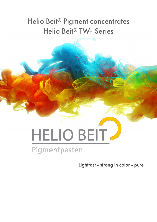## Helio Beit® Pigment concentrates Helio Beit® TW- Series

## HELIO BEIT Pigmentpasten

Lightfast - strong in color - pure